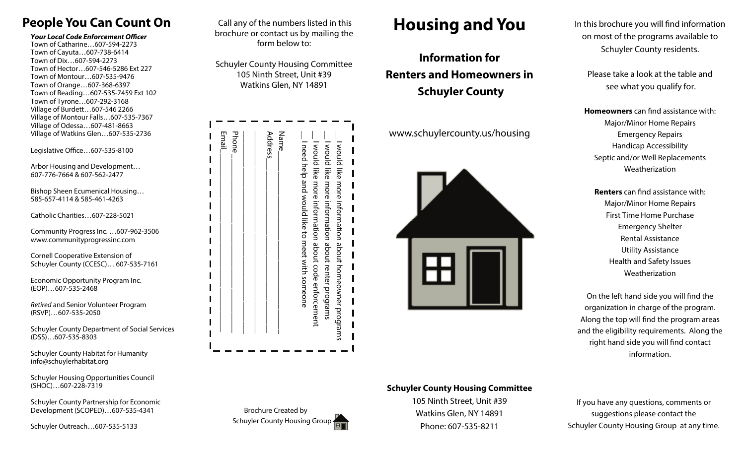## **People You Can Count On**

**Your Local Code Enforcement Officer** Town of Catharine…607-594-2273 Town of Cayuta…607-738-6414 Town of Dix…607-594-2273 Town of Hector…607-546-5286 Ext 227 Town of Montour…607-535-9476 Town of Orange…607-368-6397 Town of Reading…607-535-7459 Ext 102 Town of Tyrone…607-292-3168 Village of Burdett…607-546 2266 Village of Montour Falls…607-535-7367 Village of Odessa…607-481-8663 Village of Watkins Glen…607-535-2736

Legislative Office…607-535-8100

Arbor Housing and Development… 607-776-7664 & 607-562-2477

Bishop Sheen Ecumenical Housing… 585-657-4114 & 585-461-4263

Catholic Charities…607-228-5021

Community Progress Inc. …607-962-3506 www.communityprogressinc.com

Cornell Cooperative Extension of Schuyler County (CCESC)… 607-535-7161

Economic Opportunity Program Inc. (EOP)…607-535-2468

Retired and Senior Volunteer Program (RSVP)…607-535-2050

Schuyler County Department of Social Services (DSS)…607-535-8303

Schuyler County Habitat for Humanity info@schuylerhabitat.org

Schuyler Housing Opportunities Council (SHOC)…607-228-7319

Schuyler County Partnership for Economic Development (SCOPED)…607-535-4341

Schuyler Outreach…607-535-5133

 Call any of the numbers listed in this brochure or contact us by mailing the form below to:

Schuyler County Housing Committee 105 Ninth Street, Unit #39 Watkins Glen, NY 14891

| Email | Address | <b>Name</b>                                       | I would like more information about renter programs    | – vould like more information about homeowner programs – |
|-------|---------|---------------------------------------------------|--------------------------------------------------------|----------------------------------------------------------|
| Phone |         | □ I need help and would like to meet with someone | - I would like more information about code enforcement |                                                          |
|       |         |                                                   |                                                        |                                                          |

Brochure Created by Schuyler County Housing Group

## **Housing and You**

**Information for Renters and Homeowners in Schuyler County** 

www.schuylercounty.us/housing



In this brochure you will find information on most of the programs available to Schuyler County residents.

Please take a look at the table and see what you qualify for.

**Homeowners** can find assistance with: Major/Minor Home Repairs Emergency Repairs Handicap Accessibility Septic and/or Well Replacements Weatherization

**Renters** can find assistance with: Major/Minor Home Repairs First Time Home Purchase Emergency Shelter Rental Assistance Utility Assistance Health and Safety Issues Weatherization

On the left hand side you will find the organization in charge of the program. Along the top will find the program areas and the eligibility requirements. Along the right hand side you will find contact information.

**Schuyler County Housing Committee** 

105 Ninth Street, Unit #39 Watkins Glen, NY 14891 Phone: 607-535-8211

If you have any questions, comments or suggestions please contact the Schuyler County Housing Group at any time.